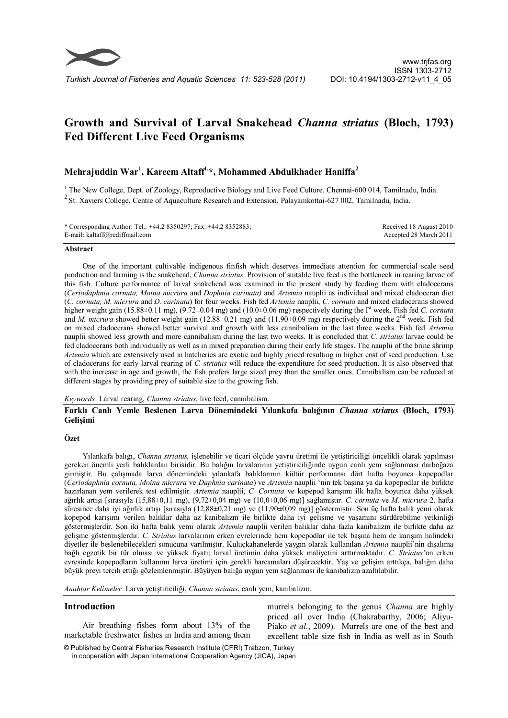

# **Growth and Survival of Larval Snakehead** *Channa striatus* **(Bloch, 1793) Fed Different Live Feed Organisms**

# **Mehrajuddin War<sup>1</sup> , Kareem Altaff1,\*, Mohammed Abdulkhader Haniffa<sup>2</sup>**

<sup>1</sup> The New College, Dept. of Zoology, Reproductive Biology and Live Feed Culture. Chennai-600 014, Tamilnadu, India. <sup>2</sup> St. Xaviers College, Centre of Aquaculture Research and Extension, Palayamkottai-627 002, Tamilnadu, India.

| * Corresponding Author: Tel.: +44.2 8350297; Fax: +44.2 8352883; | Received 18 August 2010 |
|------------------------------------------------------------------|-------------------------|
| E-mail: kaltaff@rediffmail.com                                   | Accepted 28 March 2011  |

# **Abstract**

One of the important cultivable indigenous finfish which deserves immediate attention for commercial scale seed production and farming is the snakehead, *Channa striatus*. Provision of suitable live feed is the bottleneck in rearing larvae of this fish. Culture performance of larval snakehead was examined in the present study by feeding them with cladocerans (*Ceriodaphnia cornuta, Moina micrura* and *Daphnia carinata)* and *Artemia* nauplii as individual and mixed cladoceran diet (*C. cornuta, M. micrura* and *D. carinata*) for four weeks. Fish fed *Artemia* nauplii, *C. cornuta* and mixed cladocerans showed higher weight gain (15.88±0.11 mg), (9.72±0.04 mg) and (10.0±0.06 mg) respectively during the I<sup>st</sup> week. Fish fed *C. cornuta* and *M. micrura* showed better weight gain (12.88±0.21 mg) and (11.90±0.09 mg) respectively during the 2<sup>nd</sup> week. Fish fed on mixed cladocerans showed better survival and growth with less cannibalism in the last three weeks. Fish fed *Artemia* nauplii showed less growth and more cannibalism during the last two weeks. It is concluded that *C. striatus* larvae could be fed cladocerans both individually as well as in mixed preparation during their early life stages. The nauplii of the brine shrimp *Artemia* which are extensively used in hatcheries are exotic and highly priced resulting in higher cost of seed production. Use of cladocerans for early larval rearing of *C. striatus* will reduce the expenditure for seed production. It is also observed that with the increase in age and growth, the fish prefers large sized prey than the smaller ones. Cannibalism can be reduced at different stages by providing prey of suitable size to the growing fish.

*Keywords*: Larval rearing, *Channa striatus*, live feed, cannibalism.

# **Farklı Canlı Yemle Beslenen Larva Dönemindeki Yılankafa balığının** *Channa striatus* **(Bloch, 1793) Gelişimi**

# **Özet**

Yılankafa balığı, *Channa striatus,* işlenebilir ve ticari ölçüde yavru üretimi ile yetiştiriciliği öncelikli olarak yapılması gereken önemli yerli balıklardan birisidir. Bu balığın larvalarının yetiştiriciliğinde uygun canlı yem sağlanması darboğaza girmiştir. Bu çalışmada larva dönemindeki yılankafa balıklarının kültür performansı dört hafta boyunca kopepodlar (*Ceriodaphnia cornuta, Moina micrura* ve *Daphnia carinata*) ve *Artemia* nauplii 'nin tek başına ya da kopepodlar ile birlikte hazırlanan yem verilerek test edilmiştir. *Artemia* nauplii, *C. Cornuta* ve kopepod karışımı ilk hafta boyunca daha yüksek ağırlık artışı [sırasıyla (15,88±0,11 mg), (9,72±0,04 mg) ve (10,0±0,06 mg)] sağlamıştır. *C. cornuta* ve *M. micrura* 2. hafta süresince daha iyi ağırlık artışı [sırasıyla (12,88±0,21 mg) ve (11,90±0,09 mg)] göstermiştir. Son üç hafta balık yemi olarak kopepod karışımı verilen balıklar daha az kanibalizm ile birlikte daha iyi gelişme ve yaşamını sürdürebilme yetkinliği göstermişlerdir. Son iki hafta balık yemi olarak *Artemia* nauplii verilen balıklar daha fazla kanibalizm ile birlikte daha az gelişme göstermişlerdir. *C. Striatus* larvalarının erken evrelerinde hem kopepodlar ile tek başına hem de karışım halindeki diyetler ile beslenebilecekleri sonucuna varılmıştır. Kuluçkahanelerde yaygın olarak kullanılan *Artemia* nauplii'nin dışalıma bağlı egzotik bir tür olması ve yüksek fiyatı; larval üretimin daha yüksek maliyetini arttırmaktadır. *C. Striatus*'un erken evresinde kopepodların kullanımı larva üretimi için gerekli harcamaları düşürecektir. Yaş ve gelişim arttıkça, balığın daha büyük preyi tercih ettiği gözlemlenmiştir. Büyüyen balığa uygun yem sağlanması ile kanibalizm azaltılabilir.

*Anahtar Kelimeler*: Larva yetiştiriciliği, *Channa striatus*, canlı yem, kanibalizm.

# **Introduction**

Air breathing fishes form about 13% of the marketable freshwater fishes in India and among them murrels belonging to the genus *Channa* are highly priced all over India (Chakrabarthy, 2006; Aliyu-Piako *et al*., 2009). Murrels are one of the best and excellent table size fish in India as well as in South

 © Published by Central Fisheries Research Institute (CFRI) Trabzon, Turkey in cooperation with Japan International Cooperation Agency (JICA), Japan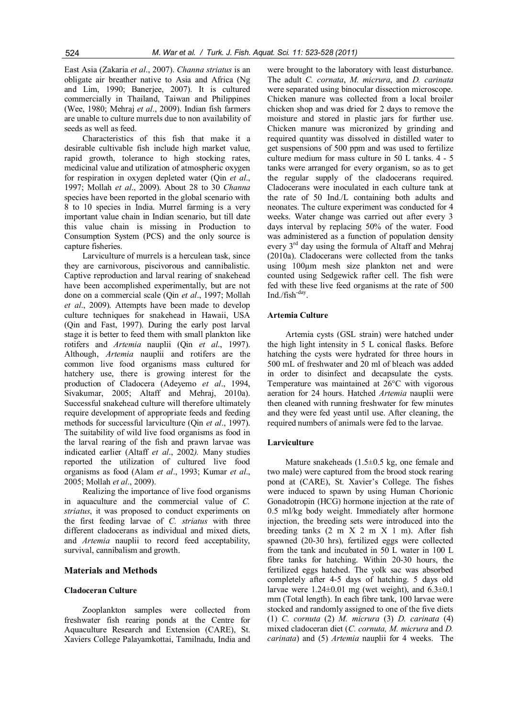East Asia (Zakaria *et al*., 2007). *Channa striatus* is an obligate air breather native to Asia and Africa (Ng and Lim, 1990; Banerjee, 2007). It is cultured commercially in Thailand, Taiwan and Philippines (Wee, 1980; Mehraj *et al*., 2009). Indian fish farmers are unable to culture murrels due to non availability of seeds as well as feed.

Characteristics of this fish that make it a desirable cultivable fish include high market value, rapid growth, tolerance to high stocking rates, medicinal value and utilization of atmospheric oxygen for respiration in oxygen depleted water (Qin *et al*., 1997; Mollah *et al*., 2009). About 28 to 30 *Channa* species have been reported in the global scenario with 8 to 10 species in India. Murrel farming is a very important value chain in Indian scenario, but till date this value chain is missing in Production to Consumption System (PCS) and the only source is capture fisheries.

Larviculture of murrels is a herculean task, since they are carnivorous, piscivorous and cannibalistic. Captive reproduction and larval rearing of snakehead have been accomplished experimentally, but are not done on a commercial scale (Qin *et al*., 1997; Mollah *et al*., 2009). Attempts have been made to develop culture techniques for snakehead in Hawaii, USA (Qin and Fast, 1997). During the early post larval stage it is better to feed them with small plankton like rotifers and *Artemia* nauplii (Qin *et al*., 1997). Although, *Artemia* nauplii and rotifers are the common live food organisms mass cultured for hatchery use, there is growing interest for the production of Cladocera (Adeyemo *et al*., 1994, Sivakumar, 2005; Altaff and Mehraj, 2010a). Successful snakehead culture will therefore ultimately require development of appropriate feeds and feeding methods for successful larviculture (Qin *et al*., 1997). The suitability of wild live food organisms as food in the larval rearing of the fish and prawn larvae was indicated earlier (Altaff *et al*., 2002*).* Many studies reported the utilization of cultured live food organisms as food (Alam *et al*., 1993; Kumar *et al*., 2005; Mollah *et al*., 2009).

Realizing the importance of live food organisms in aquaculture and the commercial value of *C. striatus*, it was proposed to conduct experiments on the first feeding larvae of *C. striatus* with three different cladocerans as individual and mixed diets, and *Artemia* nauplii to record feed acceptability, survival, cannibalism and growth.

# **Materials and Methods**

# **Cladoceran Culture**

Zooplankton samples were collected from freshwater fish rearing ponds at the Centre for Aquaculture Research and Extension (CARE), St. Xaviers College Palayamkottai, Tamilnadu, India and

were brought to the laboratory with least disturbance. The adult *C. cornata*, *M. micrura*, and *D. carinata* were separated using binocular dissection microscope. Chicken manure was collected from a local broiler chicken shop and was dried for 2 days to remove the moisture and stored in plastic jars for further use. Chicken manure was micronized by grinding and required quantity was dissolved in distilled water to get suspensions of 500 ppm and was used to fertilize culture medium for mass culture in 50 L tanks. 4 - 5 tanks were arranged for every organism, so as to get the regular supply of the cladocerans required. Cladocerans were inoculated in each culture tank at the rate of 50 Ind./L containing both adults and neonates. The culture experiment was conducted for 4 weeks. Water change was carried out after every 3 days interval by replacing 50% of the water. Food was administered as a function of population density every 3<sup>rd</sup> day using the formula of Altaff and Mehraj (2010a). Cladocerans were collected from the tanks using 100µm mesh size plankton net and were counted using Sedgewick rafter cell. The fish were fed with these live feed organisms at the rate of 500 Ind./fish-day .

# **Artemia Culture**

Artemia cysts (GSL strain) were hatched under the high light intensity in 5 L conical flasks. Before hatching the cysts were hydrated for three hours in 500 mL of freshwater and 20 ml of bleach was added in order to disinfect and decapsulate the cysts. Temperature was maintained at 26°C with vigorous aeration for 24 hours. Hatched *Artemia* nauplii were then cleaned with running freshwater for few minutes and they were fed yeast until use. After cleaning, the required numbers of animals were fed to the larvae.

#### **Larviculture**

Mature snakeheads (1.5±0.5 kg, one female and two male) were captured from the brood stock rearing pond at (CARE), St. Xavier's College. The fishes were induced to spawn by using Human Chorionic Gonadotropin (HCG) hormone injection at the rate of 0.5 ml/kg body weight. Immediately after hormone injection, the breeding sets were introduced into the breeding tanks  $(2 \text{ m } X \ 2 \text{ m } X \ 1 \text{ m})$ . After fish spawned (20-30 hrs), fertilized eggs were collected from the tank and incubated in 50 L water in 100 L fibre tanks for hatching. Within 20-30 hours, the fertilized eggs hatched. The yolk sac was absorbed completely after 4-5 days of hatching. 5 days old larvae were  $1.24\pm0.01$  mg (wet weight), and  $6.3\pm0.1$ mm (Total length). In each fibre tank, 100 larvae were stocked and randomly assigned to one of the five diets (1) *C. cornuta* (2) *M. micrura* (3) *D. carinata* (4) mixed cladoceran diet (*C. cornuta, M. micrura* and *D. carinata*) and (5) *Artemia* nauplii for 4 weeks. The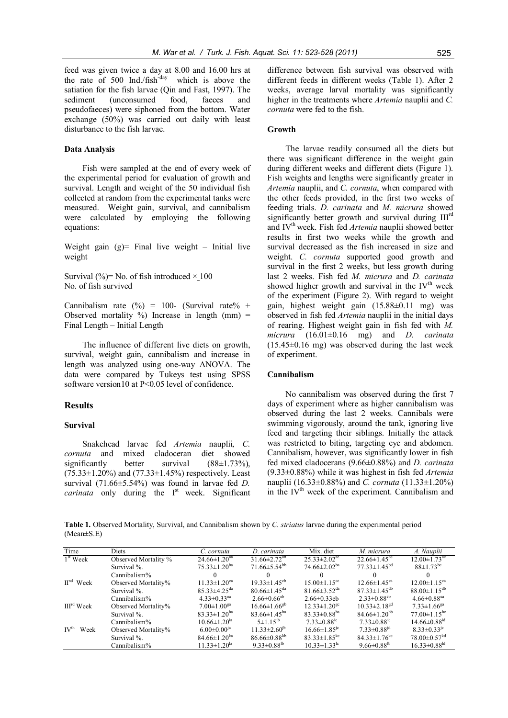feed was given twice a day at 8.00 and 16.00 hrs at the rate of 500 Ind./fish<sup>-day</sup> which is above the satiation for the fish larvae (Qin and Fast, 1997). The sediment (unconsumed food, faeces and pseudofaeces) were siphoned from the bottom. Water exchange (50%) was carried out daily with least disturbance to the fish larvae.

# **Data Analysis**

Fish were sampled at the end of every week of the experimental period for evaluation of growth and survival. Length and weight of the 50 individual fish collected at random from the experimental tanks were measured. Weight gain, survival, and cannibalism were calculated by employing the following equations:

Weight gain  $(g)$ = Final live weight – Initial live weight

Survival (%)= No. of fish introduced  $\times$  100 No. of fish survived

Cannibalism rate  $(\frac{9}{0}) = 100$ - (Survival rate% + Observed mortality  $\%$ ) Increase in length (mm) = Final Length – Initial Length

The influence of different live diets on growth, survival, weight gain, cannibalism and increase in length was analyzed using one-way ANOVA. The data were compared by Tukeys test using SPSS software version10 at P<0.05 level of confidence.

# **Results**

#### **Survival**

Snakehead larvae fed *Artemia* nauplii*, C. cornuta* and mixed cladoceran diet showed significantly better survival  $(88\pm1.73\%)$ ,  $(75.33\pm1.20\%)$  and  $(77.33\pm1.45\%)$  respectively. Least survival (71.66±5.54%) was found in larvae fed *D. carinata* only during the  $I<sup>st</sup>$  week. Significant difference between fish survival was observed with different feeds in different weeks (Table 1). After 2 weeks, average larval mortality was significantly higher in the treatments where *Artemia* nauplii and *C. cornuta* were fed to the fish.

#### **Growth**

The larvae readily consumed all the diets but there was significant difference in the weight gain during different weeks and different diets (Figure 1). Fish weights and lengths were significantly greater in *Artemia* nauplii, and *C. cornuta*, when compared with the other feeds provided, in the first two weeks of feeding trials. *D. carinata* and *M. micrura* showed significantly better growth and survival during III<sup>rd</sup> and IV<sup>th</sup> week. Fish fed *Artemia* nauplii showed better results in first two weeks while the growth and survival decreased as the fish increased in size and weight. *C. cornuta* supported good growth and survival in the first 2 weeks, but less growth during last 2 weeks. Fish fed *M. micrura* and *D. carinata* showed higher growth and survival in the  $IV<sup>th</sup>$  week of the experiment (Figure 2). With regard to weight gain, highest weight gain (15.88±0.11 mg) was observed in fish fed *Artemia* nauplii in the initial days of rearing. Highest weight gain in fish fed with *M. micrura* (16.01±0.16 mg) and *D. carinata*  $(15.45\pm0.16$  mg) was observed during the last week of experiment.

# **Cannibalism**

No cannibalism was observed during the first 7 days of experiment where as higher cannibalism was observed during the last 2 weeks. Cannibals were swimming vigorously, around the tank, ignoring live feed and targeting their siblings. Initially the attack was restricted to biting, targeting eye and abdomen. Cannibalism, however, was significantly lower in fish fed mixed cladocerans (9.66±0.88%) and *D. carinata* (9.33±0.88%) while it was highest in fish fed *Artemia* nauplii (16.33±0.88%) and *C. cornuta* (11.33±1.20%) in the IV<sup>th</sup> week of the experiment. Cannibalism and

**Table 1.** Observed Mortality, Survival, and Cannibalism shown by *C. striatus* larvae during the experimental period (Mean±S.E)

| Time                     | <b>Diets</b>         | C. cornuta                     | D. carinata                    | Mix. diet                      | M. micrura                     | A. Nauplii                     |
|--------------------------|----------------------|--------------------------------|--------------------------------|--------------------------------|--------------------------------|--------------------------------|
| $1st$ Week               | Observed Mortality % | $24.66 \pm 1.20$ <sup>aa</sup> | $31.66 \pm 2.72$ <sup>ab</sup> | $25.33 \pm 2.02^{\text{ac}}$   | $22.66 \pm 1.45$ <sup>ad</sup> | $12.00 \pm 1.73$ <sup>ae</sup> |
|                          | Survival %.          | $75.33 \pm 1.20^{ba}$          | $71.66 \pm 5.54^{\rm bb}$      | $74.66 \pm 2.02^{ba}$          | $77.33 \pm 1.45$ <sup>bd</sup> | $88 \pm 1.73$ <sup>be</sup>    |
|                          | Cannibalism%         |                                |                                |                                |                                |                                |
| $IInd$ Week              | Observed Mortality%  | $11.33 \pm 1.20$ <sup>ca</sup> | $19.33 \pm 1.45^{\text{cb}}$   | $15.00 \pm 1.15$ <sup>cc</sup> | $12.66 \pm 1.45$ <sup>ca</sup> | $12.00 \pm 1.15$ <sup>ca</sup> |
|                          | Survival %.          | $85.33 \pm 4.25$ <sup>da</sup> | $80.66 \pm 1.45$ <sup>da</sup> | $81.66 \pm 3.52$ <sup>da</sup> | $87.33 \pm 1.45$ <sup>db</sup> | $88.00 \pm 1.15^{db}$          |
|                          | Cannibalism%         | $4.33 \pm 0.33$ <sup>ea</sup>  | $2.66 \pm 0.66$ <sup>eb</sup>  | $2.66\pm0.33$ eb               | $2.33 \pm 0.88$ <sup>eb</sup>  | $4.66 \pm 0.88$ <sup>ea</sup>  |
| III <sup>rd</sup> Week   | Observed Mortality%  | $7.00 \pm 1.00$ <sup>ga</sup>  | $16.66 \pm 1.66$ <sup>gb</sup> | $12.33 \pm 1.20$ <sup>gc</sup> | $10.33 \pm 2.18$ <sup>gd</sup> | $7.33 \pm 1.66$ <sup>ga</sup>  |
|                          | Survival %.          | $83.33 \pm 1.20$ <sup>ha</sup> | $83.66 \pm 1.45^{\text{ha}}$   | 83.33 $\pm$ 0.88 <sup>ha</sup> | $84.66 \pm 1.20$ <sup>hb</sup> | $77.00 \pm 1.15$ <sup>hc</sup> |
|                          | Camibalism%          | $10.66 \pm 1.20$ <sup>ia</sup> | $5 \pm 1.15^{ib}$              | $7.33 \pm 0.88$ <sup>ic</sup>  | $7.33 \pm 0.88$ <sup>ic</sup>  | $14.66 \pm 0.88$ <sup>id</sup> |
| IV <sup>th</sup><br>Week | Observed Mortality%  | $6.00 \pm 0.00$ <sup>ja</sup>  | $11.33 \pm 2.60^{ib}$          | $16.66 \pm 1.85$ <sup>c</sup>  | $7.33 \pm 0.88$ <sup>jd</sup>  | $8.33 \pm 0.33$ <sup>e</sup>   |
|                          | Survival %.          | $84.66 \pm 1.20$ <sup>ka</sup> | $86.66 \pm 0.88^{kb}$          | 83.33 $\pm$ 1.85 <sup>kc</sup> | $84.33 \pm 1.76$ <sup>kc</sup> | $78.00 \pm 0.57$ <sup>kd</sup> |
|                          | Camibalism%          | $11.33 \pm 1.20$ <sup>la</sup> | 9.33 $\pm$ 0.88 <sup>th</sup>  | $10.33 \pm 1.33^{\text{lc}}$   | 9.66 $\pm$ 0.88 <sup>th</sup>  | $16.33 \pm 0.88$ <sup>ld</sup> |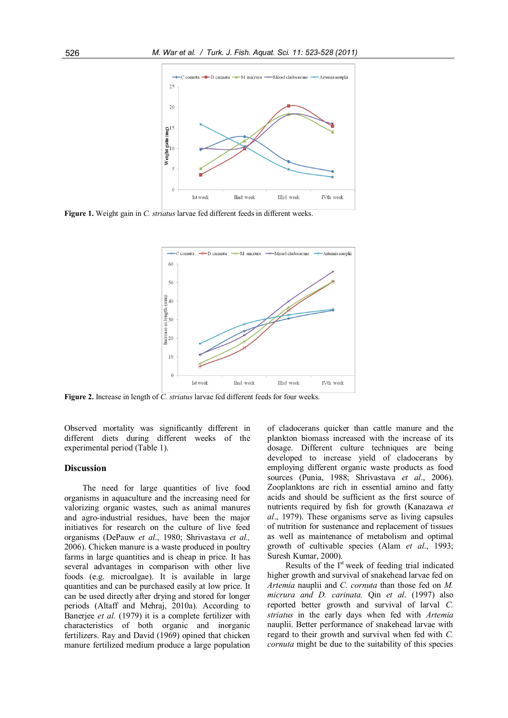

**Figure 1.** Weight gain in *C. striatus* larvae fed different feeds in different weeks.



**Figure 2.** Increase in length of *C. striatus* larvae fed different feeds for four weeks.

Observed mortality was significantly different in different diets during different weeks of the experimental period (Table 1).

#### **Discussion**

The need for large quantities of live food organisms in aquaculture and the increasing need for valorizing organic wastes, such as animal manures and agro-industrial residues, have been the major initiatives for research on the culture of live feed organisms (DePauw *et al*., 1980; Shrivastava *et al.,* 2006). Chicken manure is a waste produced in poultry farms in large quantities and is cheap in price. It has several advantages in comparison with other live foods (e.g. microalgae). It is available in large quantities and can be purchased easily at low price. It can be used directly after drying and stored for longer periods (Altaff and Mehraj, 2010a). According to Banerjee *et al.* (1979) it is a complete fertilizer with characteristics of both organic and inorganic fertilizers. Ray and David (1969) opined that chicken manure fertilized medium produce a large population of cladocerans quicker than cattle manure and the plankton biomass increased with the increase of its dosage. Different culture techniques are being developed to increase yield of cladocerans by employing different organic waste products as food sources (Punia, 1988; Shrivastava *et al*., 2006). Zooplanktons are rich in essential amino and fatty acids and should be sufficient as the first source of nutrients required by fish for growth (Kanazawa *et al*., 1979). These organisms serve as living capsules of nutrition for sustenance and replacement of tissues as well as maintenance of metabolism and optimal growth of cultivable species (Alam *et al*., 1993; Suresh Kumar, 2000).

Results of the  $I<sup>st</sup>$  week of feeding trial indicated higher growth and survival of snakehead larvae fed on *Artemia* nauplii and *C. cornuta* than those fed on *M. micrura and D. carinata.* Qin *et al*. (1997) also reported better growth and survival of larval *C. striatus* in the early days when fed with *Artemia* nauplii. Better performance of snakehead larvae with regard to their growth and survival when fed with *C. cornuta* might be due to the suitability of this species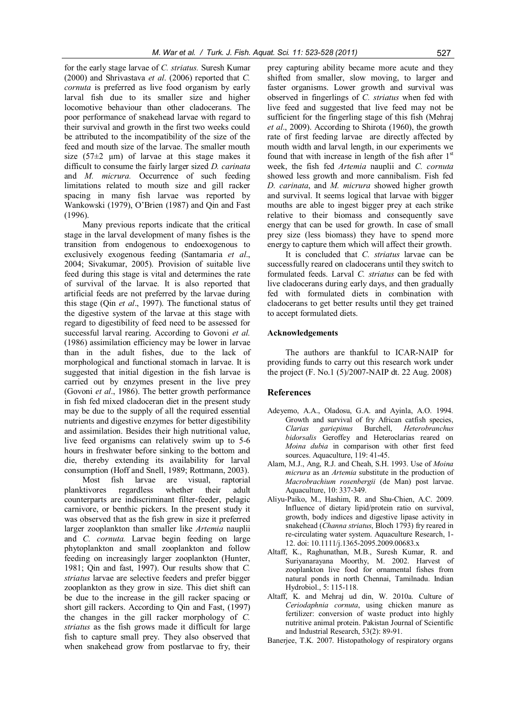for the early stage larvae of *C. striatus.* Suresh Kumar (2000) and Shrivastava *et al*. (2006) reported that *C. cornuta* is preferred as live food organism by early larval fish due to its smaller size and higher locomotive behaviour than other cladocerans. The poor performance of snakehead larvae with regard to their survival and growth in the first two weeks could be attributed to the incompatibility of the size of the feed and mouth size of the larvae. The smaller mouth size ( $57\pm2$  µm) of larvae at this stage makes it difficult to consume the fairly larger sized *D. carinata* and *M. micrura.* Occurrence of such feeding limitations related to mouth size and gill racker spacing in many fish larvae was reported by Wankowski (1979), O'Brien (1987) and Qin and Fast (1996).

Many previous reports indicate that the critical stage in the larval development of many fishes is the transition from endogenous to endoexogenous to exclusively exogenous feeding (Santamaria *et al*., 2004; Sivakumar, 2005). Provision of suitable live feed during this stage is vital and determines the rate of survival of the larvae. It is also reported that artificial feeds are not preferred by the larvae during this stage (Qin *et al*., 1997). The functional status of the digestive system of the larvae at this stage with regard to digestibility of feed need to be assessed for successful larval rearing. According to Govoni *et al.* (1986) assimilation efficiency may be lower in larvae than in the adult fishes, due to the lack of morphological and functional stomach in larvae. It is suggested that initial digestion in the fish larvae is carried out by enzymes present in the live prey (Govoni *et al*., 1986). The better growth performance in fish fed mixed cladoceran diet in the present study may be due to the supply of all the required essential nutrients and digestive enzymes for better digestibility and assimilation. Besides their high nutritional value, live feed organisms can relatively swim up to 5-6 hours in freshwater before sinking to the bottom and die, thereby extending its availability for larval consumption (Hoff and Snell, 1989; Rottmann, 2003).

Most fish larvae are visual, raptorial planktivores regardless whether their adult counterparts are indiscriminant filter-feeder, pelagic carnivore, or benthic pickers. In the present study it was observed that as the fish grew in size it preferred larger zooplankton than smaller like *Artemia* nauplii and *C. cornuta.* Larvae begin feeding on large phytoplankton and small zooplankton and follow feeding on increasingly larger zooplankton (Hunter, 1981; Qin and fast, 1997). Our results show that *C. striatus* larvae are selective feeders and prefer bigger zooplankton as they grow in size. This diet shift can be due to the increase in the gill racker spacing or short gill rackers. According to Qin and Fast, (1997) the changes in the gill racker morphology of *C. striatus* as the fish grows made it difficult for large fish to capture small prey. They also observed that when snakehead grow from postlarvae to fry, their

prey capturing ability became more acute and they shifted from smaller, slow moving, to larger and faster organisms. Lower growth and survival was observed in fingerlings of *C. striatus* when fed with live feed and suggested that live feed may not be sufficient for the fingerling stage of this fish (Mehraj *et al*., 2009). According to Shirota (1960), the growth rate of first feeding larvae are directly affected by mouth width and larval length, in our experiments we found that with increase in length of the fish after  $1<sup>st</sup>$ week, the fish fed *Artemia* nauplii and *C. cornuta* showed less growth and more cannibalism. Fish fed *D. carinata*, and *M. micrura* showed higher growth and survival. It seems logical that larvae with bigger mouths are able to ingest bigger prey at each strike relative to their biomass and consequently save energy that can be used for growth. In case of small prey size (less biomass) they have to spend more energy to capture them which will affect their growth.

It is concluded that *C. striatus* larvae can be successfully reared on cladocerans until they switch to formulated feeds. Larval *C. striatus* can be fed with live cladocerans during early days, and then gradually fed with formulated diets in combination with cladocerans to get better results until they get trained to accept formulated diets.

# **Acknowledgements**

The authors are thankful to ICAR-NAIP for providing funds to carry out this research work under the project (F. No.1 (5)/2007-NAIP dt. 22 Aug. 2008)

# **References**

- Adeyemo, A.A., Oladosu, G.A. and Ayinla, A.O. 1994. Growth and survival of fry African catfish species, *Clarias gariepinus* Burchell, *Heterobranchus bidorsalis* Geroffey and Heteroclarias reared on *Moina dubia* in comparison with other first feed sources. Aquaculture, 119: 41-45.
- Alam, M.J., Ang, R.J. and Cheah, S.H. 1993. Use of *Moina micrura* as an *Artemia* substitute in the production of *Macrobrachium rosenbergii* (de Man) post larvae. Aquaculture, 10: 337-349.
- Aliyu-Paiko, M., Hashim, R. and Shu-Chien, A.C. 2009. Influence of dietary lipid/protein ratio on survival, growth, body indices and digestive lipase activity in snakehead (*Channa striatus*, Bloch 1793) fry reared in re-circulating water system. Aquaculture Research, 1- 12. doi: 10.1111/j.1365-2095.2009.00683.x
- Altaff, K., Raghunathan, M.B., Suresh Kumar, R. and Suriyanarayana Moorthy, M. 2002. Harvest of zooplankton live food for ornamental fishes from natural ponds in north Chennai, Tamilnadu. Indian Hydrobiol., 5: 115-118.
- Altaff, K. and Mehraj ud din, W. 2010a. Culture of *Ceriodaphnia cornuta*, using chicken manure as fertilizer: conversion of waste product into highly nutritive animal protein. Pakistan Journal of Scientific and Industrial Research, 53(2): 89-91.
- Banerjee, T.K. 2007. Histopathology of respiratory organs